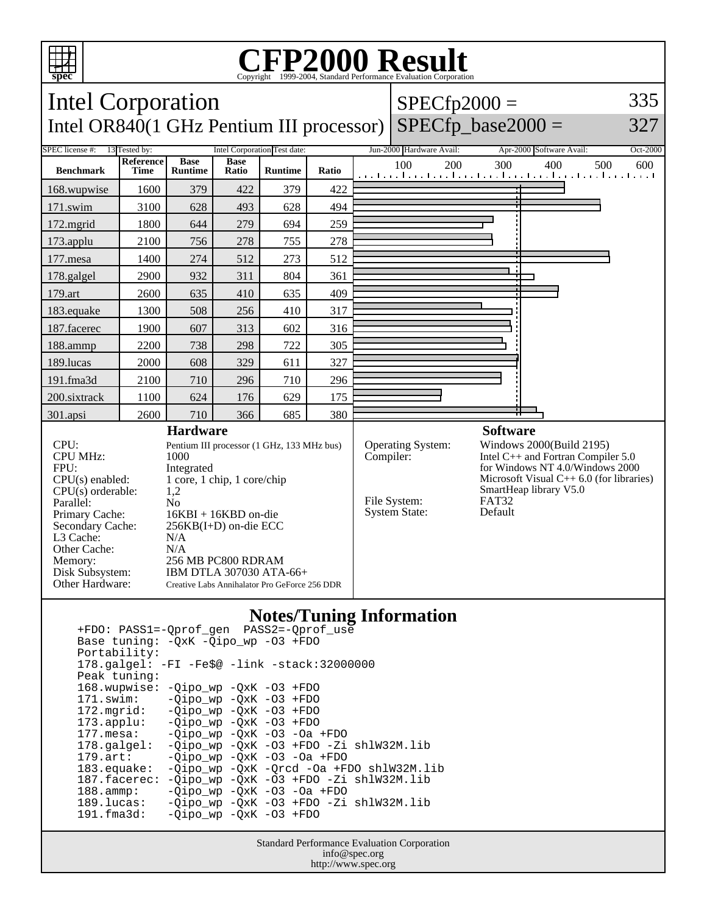

## **CFP2000 Result** Copyright 1999-2004, Standard Performance Evaluation Corporation



## **Notes/Tuning Information**

 +FDO: PASS1=-Qprof\_gen PASS2=-Qprof\_use Base tuning: -QxK -Qipo\_wp -O3 +FDO Portability: 178.galgel: -FI -Fe\$@ -link -stack:32000000 Peak tuning: 168.wupwise: -Qipo\_wp -QxK -O3 +FDO 171.swim: -Qipo\_wp -QxK -O3 +FDO<br>172.mgrid: -Oipo wp -OxK -O3 +FDO 172.mgrid: -Qipo\_wp -QxK -O3 +FDO 173.applu: -Qipo\_wp -QxK -O3 +FDO<br>177.mesa: -Qipo\_wp -QxK -O3 -Oa  $-Qipo$  wp  $-QxK$   $-O3$   $-Oa$   $+FDO$  178.galgel: -Qipo\_wp -QxK -O3 +FDO -Zi shlW32M.lib 179.art: -Qipo\_wp -QxK -O3 -Oa +FDO<br>183.equake: -Qipo\_wp -QxK -Qrcd -Oa +FJ -Qipo\_wp -QxK -Qrcd -Oa +FDO shlW32M.lib 187.facerec: -Qipo\_wp -QxK -O3 +FDO -Zi shlW32M.lib 188.ammp: -Qipo\_wp -QxK -O3 -Oa +FDO 189.lucas: -Qipo\_wp -QxK -O3 +FDO -Zi shlW32M.lib  $-Qipo\_wp$   $-QxK$  -O3  $+FDO$ 

> Standard Performance Evaluation Corporation info@spec.org http://www.spec.org